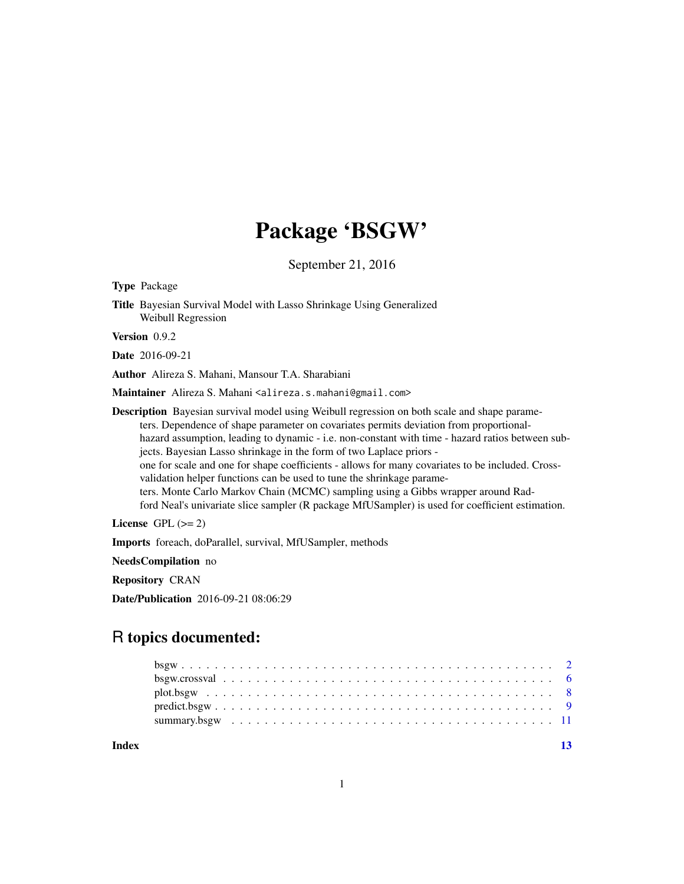# Package 'BSGW'

September 21, 2016

<span id="page-0-0"></span>Type Package Title Bayesian Survival Model with Lasso Shrinkage Using Generalized Weibull Regression Version 0.9.2 Date 2016-09-21 Author Alireza S. Mahani, Mansour T.A. Sharabiani Maintainer Alireza S. Mahani <alireza.s.mahani@gmail.com> Description Bayesian survival model using Weibull regression on both scale and shape parameters. Dependence of shape parameter on covariates permits deviation from proportionalhazard assumption, leading to dynamic - i.e. non-constant with time - hazard ratios between subjects. Bayesian Lasso shrinkage in the form of two Laplace priors one for scale and one for shape coefficients - allows for many covariates to be included. Crossvalidation helper functions can be used to tune the shrinkage parameters. Monte Carlo Markov Chain (MCMC) sampling using a Gibbs wrapper around Rad-

License GPL  $(>= 2)$ 

Imports foreach, doParallel, survival, MfUSampler, methods

NeedsCompilation no

Repository CRAN

Date/Publication 2016-09-21 08:06:29

# R topics documented:

| $predict.bsgw$ |  |  |  |  |  |  |  |  |  |  |  |  |  |  |  |  |  |  |  |  |  |
|----------------|--|--|--|--|--|--|--|--|--|--|--|--|--|--|--|--|--|--|--|--|--|
|                |  |  |  |  |  |  |  |  |  |  |  |  |  |  |  |  |  |  |  |  |  |
|                |  |  |  |  |  |  |  |  |  |  |  |  |  |  |  |  |  |  |  |  |  |

ford Neal's univariate slice sampler (R package MfUSampler) is used for coefficient estimation.

**Index** [13](#page-12-0)

1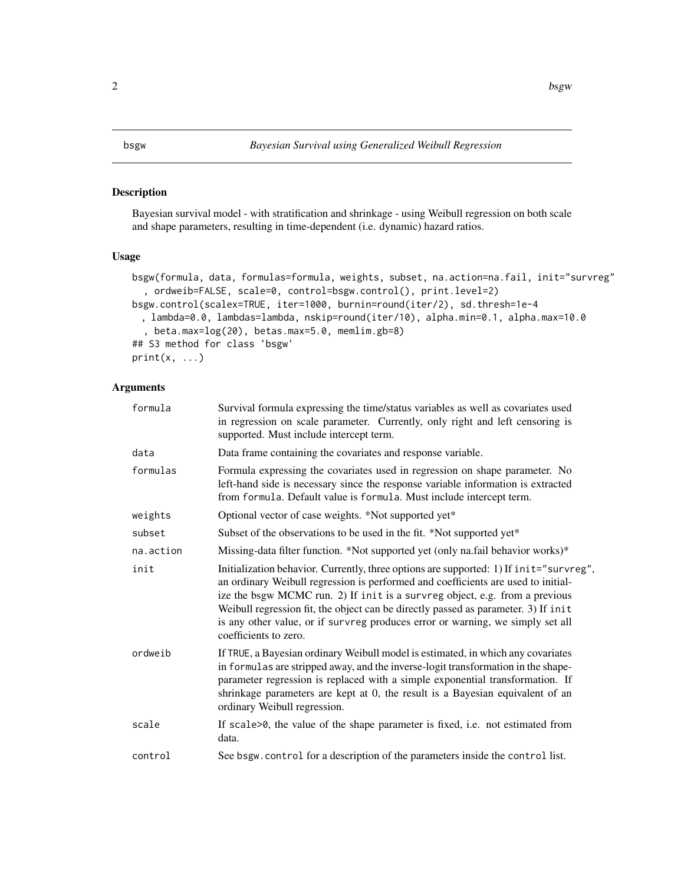# <span id="page-1-2"></span><span id="page-1-1"></span><span id="page-1-0"></span>Description

Bayesian survival model - with stratification and shrinkage - using Weibull regression on both scale and shape parameters, resulting in time-dependent (i.e. dynamic) hazard ratios.

# Usage

```
bsgw(formula, data, formulas=formula, weights, subset, na.action=na.fail, init="survreg"
  , ordweib=FALSE, scale=0, control=bsgw.control(), print.level=2)
bsgw.control(scalex=TRUE, iter=1000, burnin=round(iter/2), sd.thresh=1e-4
 , lambda=0.0, lambdas=lambda, nskip=round(iter/10), alpha.min=0.1, alpha.max=10.0
  , beta.max=log(20), betas.max=5.0, memlim.gb=8)
## S3 method for class 'bsgw'
print(x, \ldots)
```
# Arguments

| formula   | Survival formula expressing the time/status variables as well as covariates used<br>in regression on scale parameter. Currently, only right and left censoring is<br>supported. Must include intercept term.                                                                                                                                                                                                                                                |
|-----------|-------------------------------------------------------------------------------------------------------------------------------------------------------------------------------------------------------------------------------------------------------------------------------------------------------------------------------------------------------------------------------------------------------------------------------------------------------------|
| data      | Data frame containing the covariates and response variable.                                                                                                                                                                                                                                                                                                                                                                                                 |
| formulas  | Formula expressing the covariates used in regression on shape parameter. No<br>left-hand side is necessary since the response variable information is extracted<br>from formula. Default value is formula. Must include intercept term.                                                                                                                                                                                                                     |
| weights   | Optional vector of case weights. *Not supported yet*                                                                                                                                                                                                                                                                                                                                                                                                        |
| subset    | Subset of the observations to be used in the fit. *Not supported yet*                                                                                                                                                                                                                                                                                                                                                                                       |
| na.action | Missing-data filter function. *Not supported yet (only na.fail behavior works)*                                                                                                                                                                                                                                                                                                                                                                             |
| init      | Initialization behavior. Currently, three options are supported: 1) If init="survreg",<br>an ordinary Weibull regression is performed and coefficients are used to initial-<br>ize the bsgw MCMC run. 2) If init is a survreg object, e.g. from a previous<br>Weibull regression fit, the object can be directly passed as parameter. 3) If init<br>is any other value, or if survreg produces error or warning, we simply set all<br>coefficients to zero. |
| ordweib   | If TRUE, a Bayesian ordinary Weibull model is estimated, in which any covariates<br>in formulas are stripped away, and the inverse-logit transformation in the shape-<br>parameter regression is replaced with a simple exponential transformation. If<br>shrinkage parameters are kept at 0, the result is a Bayesian equivalent of an<br>ordinary Weibull regression.                                                                                     |
| scale     | If scale>0, the value of the shape parameter is fixed, i.e. not estimated from<br>data.                                                                                                                                                                                                                                                                                                                                                                     |
| control   | See bsgw. control for a description of the parameters inside the control list.                                                                                                                                                                                                                                                                                                                                                                              |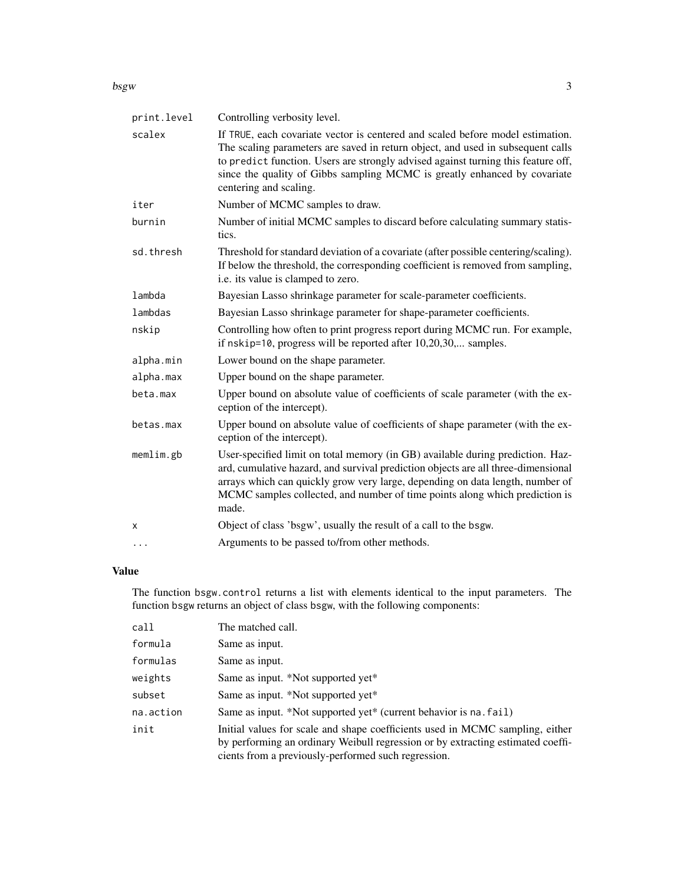#### bsgw $\sim$  3

| print.level | Controlling verbosity level.                                                                                                                                                                                                                                                                                                                                  |
|-------------|---------------------------------------------------------------------------------------------------------------------------------------------------------------------------------------------------------------------------------------------------------------------------------------------------------------------------------------------------------------|
| scalex      | If TRUE, each covariate vector is centered and scaled before model estimation.<br>The scaling parameters are saved in return object, and used in subsequent calls<br>to predict function. Users are strongly advised against turning this feature off,<br>since the quality of Gibbs sampling MCMC is greatly enhanced by covariate<br>centering and scaling. |
| iter        | Number of MCMC samples to draw.                                                                                                                                                                                                                                                                                                                               |
| burnin      | Number of initial MCMC samples to discard before calculating summary statis-<br>tics.                                                                                                                                                                                                                                                                         |
| sd.thresh   | Threshold for standard deviation of a covariate (after possible centering/scaling).<br>If below the threshold, the corresponding coefficient is removed from sampling,<br>i.e. its value is clamped to zero.                                                                                                                                                  |
| lambda      | Bayesian Lasso shrinkage parameter for scale-parameter coefficients.                                                                                                                                                                                                                                                                                          |
| lambdas     | Bayesian Lasso shrinkage parameter for shape-parameter coefficients.                                                                                                                                                                                                                                                                                          |
| nskip       | Controlling how often to print progress report during MCMC run. For example,<br>if nskip=10, progress will be reported after 10,20,30, samples.                                                                                                                                                                                                               |
| alpha.min   | Lower bound on the shape parameter.                                                                                                                                                                                                                                                                                                                           |
| alpha.max   | Upper bound on the shape parameter.                                                                                                                                                                                                                                                                                                                           |
| beta.max    | Upper bound on absolute value of coefficients of scale parameter (with the ex-<br>ception of the intercept).                                                                                                                                                                                                                                                  |
| betas.max   | Upper bound on absolute value of coefficients of shape parameter (with the ex-<br>ception of the intercept).                                                                                                                                                                                                                                                  |
| memlim.gb   | User-specified limit on total memory (in GB) available during prediction. Haz-<br>ard, cumulative hazard, and survival prediction objects are all three-dimensional<br>arrays which can quickly grow very large, depending on data length, number of<br>MCMC samples collected, and number of time points along which prediction is<br>made.                  |
| х           | Object of class 'bsgw', usually the result of a call to the bsgw.                                                                                                                                                                                                                                                                                             |
| $\cdots$    | Arguments to be passed to/from other methods.                                                                                                                                                                                                                                                                                                                 |

# Value

The function bsgw.control returns a list with elements identical to the input parameters. The function bsgw returns an object of class bsgw, with the following components:

| call      | The matched call.                                                                                                                                                                                                       |
|-----------|-------------------------------------------------------------------------------------------------------------------------------------------------------------------------------------------------------------------------|
| formula   | Same as input.                                                                                                                                                                                                          |
| formulas  | Same as input.                                                                                                                                                                                                          |
| weights   | Same as input. *Not supported yet*                                                                                                                                                                                      |
| subset    | Same as input. *Not supported yet*                                                                                                                                                                                      |
| na.action | Same as input. *Not supported yet* (current behavior is na. fail)                                                                                                                                                       |
| init      | Initial values for scale and shape coefficients used in MCMC sampling, either<br>by performing an ordinary Weibull regression or by extracting estimated coeffi-<br>cients from a previously-performed such regression. |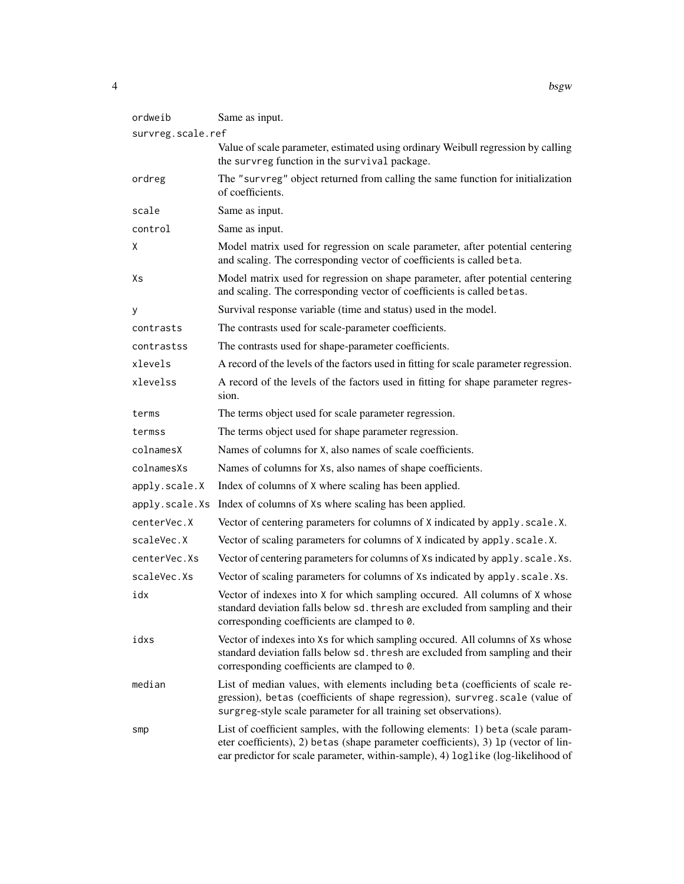| ordweib           | Same as input.                                                                                                                                                                                                                                            |
|-------------------|-----------------------------------------------------------------------------------------------------------------------------------------------------------------------------------------------------------------------------------------------------------|
| survreg.scale.ref |                                                                                                                                                                                                                                                           |
|                   | Value of scale parameter, estimated using ordinary Weibull regression by calling<br>the survreg function in the survival package.                                                                                                                         |
| ordreg            | The "survreg" object returned from calling the same function for initialization<br>of coefficients.                                                                                                                                                       |
| scale             | Same as input.                                                                                                                                                                                                                                            |
| control           | Same as input.                                                                                                                                                                                                                                            |
| Χ                 | Model matrix used for regression on scale parameter, after potential centering<br>and scaling. The corresponding vector of coefficients is called beta.                                                                                                   |
| Χs                | Model matrix used for regression on shape parameter, after potential centering<br>and scaling. The corresponding vector of coefficients is called betas.                                                                                                  |
| у                 | Survival response variable (time and status) used in the model.                                                                                                                                                                                           |
| contrasts         | The contrasts used for scale-parameter coefficients.                                                                                                                                                                                                      |
| contrastss        | The contrasts used for shape-parameter coefficients.                                                                                                                                                                                                      |
| xlevels           | A record of the levels of the factors used in fitting for scale parameter regression.                                                                                                                                                                     |
| xlevelss          | A record of the levels of the factors used in fitting for shape parameter regres-<br>sion.                                                                                                                                                                |
| terms             | The terms object used for scale parameter regression.                                                                                                                                                                                                     |
| termss            | The terms object used for shape parameter regression.                                                                                                                                                                                                     |
| colnamesX         | Names of columns for X, also names of scale coefficients.                                                                                                                                                                                                 |
| colnamesXs        | Names of columns for Xs, also names of shape coefficients.                                                                                                                                                                                                |
| apply.scale.X     | Index of columns of X where scaling has been applied.                                                                                                                                                                                                     |
| apply.scale.Xs    | Index of columns of Xs where scaling has been applied.                                                                                                                                                                                                    |
| centerVec.X       | Vector of centering parameters for columns of X indicated by apply. scale.X.                                                                                                                                                                              |
| scaleVec.X        | Vector of scaling parameters for columns of X indicated by apply.scale.X.                                                                                                                                                                                 |
| centerVec.Xs      | Vector of centering parameters for columns of Xs indicated by apply. scale. Xs.                                                                                                                                                                           |
| scaleVec.Xs       | Vector of scaling parameters for columns of Xs indicated by apply. scale. Xs.                                                                                                                                                                             |
| idx               | Vector of indexes into X for which sampling occured. All columns of X whose<br>standard deviation falls below sd. thresh are excluded from sampling and their<br>corresponding coefficients are clamped to 0.                                             |
| idxs              | Vector of indexes into Xs for which sampling occured. All columns of Xs whose<br>standard deviation falls below sd. thresh are excluded from sampling and their<br>corresponding coefficients are clamped to 0.                                           |
| median            | List of median values, with elements including beta (coefficients of scale re-<br>gression), betas (coefficients of shape regression), survreg. scale (value of<br>surgreg-style scale parameter for all training set observations).                      |
| smp               | List of coefficient samples, with the following elements: 1) beta (scale param-<br>eter coefficients), 2) betas (shape parameter coefficients), 3) 1p (vector of lin-<br>ear predictor for scale parameter, within-sample), 4) loglike (log-likelihood of |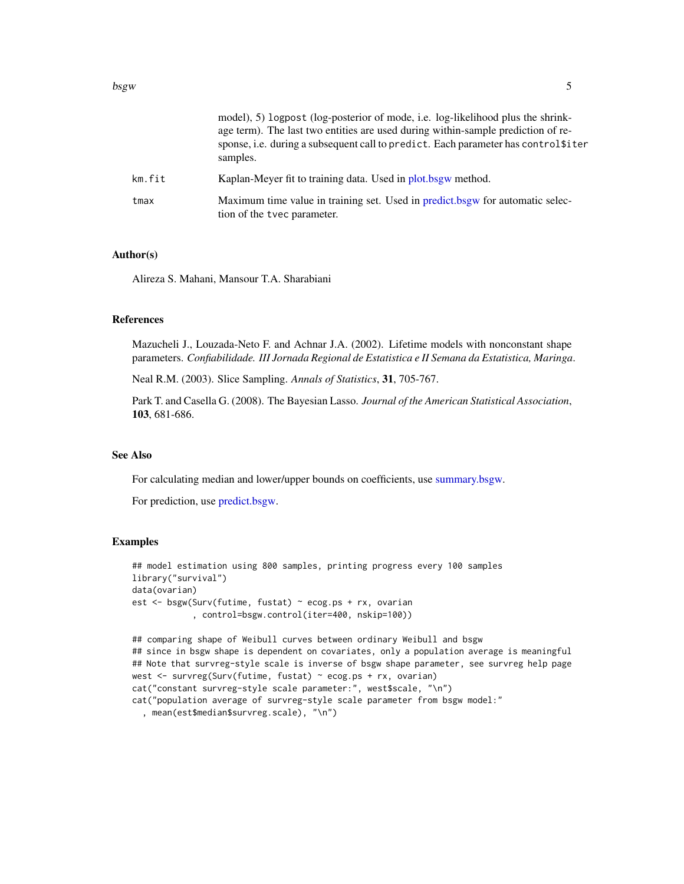<span id="page-4-0"></span>

|        | model), 5) logpost (log-posterior of mode, i.e. log-likelihood plus the shrink-<br>age term). The last two entities are used during within-sample prediction of re-<br>sponse, i.e. during a subsequent call to predict. Each parameter has control \$iter<br>samples. |
|--------|------------------------------------------------------------------------------------------------------------------------------------------------------------------------------------------------------------------------------------------------------------------------|
| km.fit | Kaplan-Meyer fit to training data. Used in plot bsgw method.                                                                                                                                                                                                           |
| tmax   | Maximum time value in training set. Used in predict bsgw for automatic selec-<br>tion of the type parameter.                                                                                                                                                           |

# Author(s)

Alireza S. Mahani, Mansour T.A. Sharabiani

# References

Mazucheli J., Louzada-Neto F. and Achnar J.A. (2002). Lifetime models with nonconstant shape parameters. *Confiabilidade. III Jornada Regional de Estatistica e II Semana da Estatistica, Maringa*.

Neal R.M. (2003). Slice Sampling. *Annals of Statistics*, 31, 705-767.

Park T. and Casella G. (2008). The Bayesian Lasso. *Journal of the American Statistical Association*, 103, 681-686.

# See Also

For calculating median and lower/upper bounds on coefficients, use [summary.bsgw.](#page-10-1)

For prediction, use [predict.bsgw.](#page-8-1)

```
## model estimation using 800 samples, printing progress every 100 samples
library("survival")
data(ovarian)
est <- bsgw(Surv(futime, fustat) ~ ecog.ps + rx, ovarian
            , control=bsgw.control(iter=400, nskip=100))
## comparing shape of Weibull curves between ordinary Weibull and bsgw
```

```
## since in bsgw shape is dependent on covariates, only a population average is meaningful
## Note that survreg-style scale is inverse of bsgw shape parameter, see survreg help page
west <- survreg(Surv(futime, fustat) ~ ecog.ps + rx, ovarian)
cat("constant survreg-style scale parameter:", west$scale, "\n")
cat("population average of survreg-style scale parameter from bsgw model:"
  , mean(est$median$survreg.scale), "\n")
```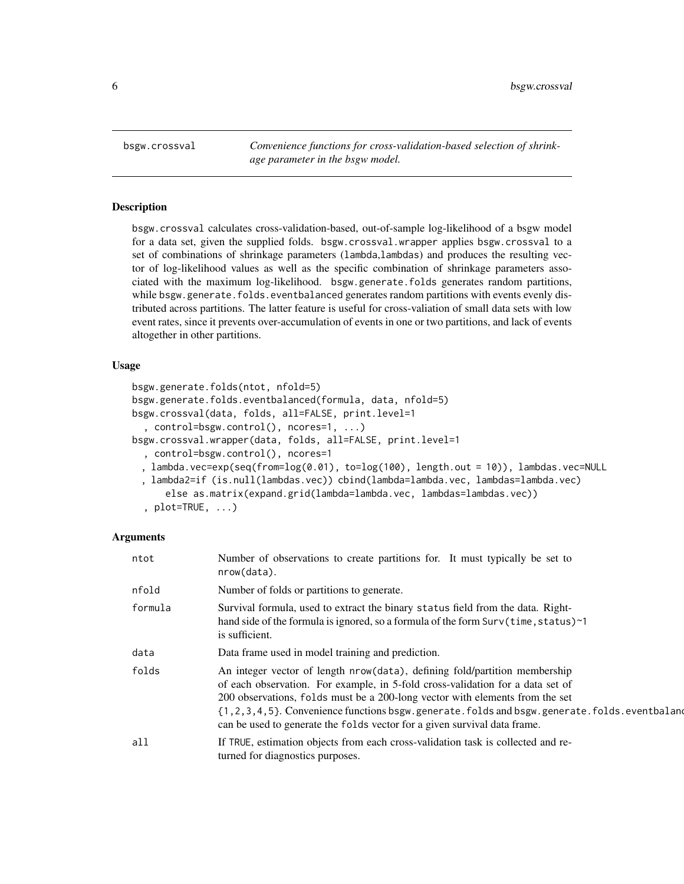<span id="page-5-0"></span>bsgw.crossval *Convenience functions for cross-validation-based selection of shrinkage parameter in the bsgw model.*

## Description

bsgw.crossval calculates cross-validation-based, out-of-sample log-likelihood of a bsgw model for a data set, given the supplied folds. bsgw.crossval.wrapper applies bsgw.crossval to a set of combinations of shrinkage parameters (lambda,lambdas) and produces the resulting vector of log-likelihood values as well as the specific combination of shrinkage parameters associated with the maximum log-likelihood. bsgw.generate.folds generates random partitions, while bsgw.generate.folds.eventbalanced generates random partitions with events evenly distributed across partitions. The latter feature is useful for cross-valiation of small data sets with low event rates, since it prevents over-accumulation of events in one or two partitions, and lack of events altogether in other partitions.

# Usage

```
bsgw.generate.folds(ntot, nfold=5)
bsgw.generate.folds.eventbalanced(formula, data, nfold=5)
bsgw.crossval(data, folds, all=FALSE, print.level=1
  , control=bsgw.control(), ncores=1, ...)
bsgw.crossval.wrapper(data, folds, all=FALSE, print.level=1
  , control=bsgw.control(), ncores=1
 , lambda.vec=exp(seq(from=log(0.01), to=log(100), length.out = 10)), lambdas.vec=NULL
 , lambda2=if (is.null(lambdas.vec)) cbind(lambda=lambda.vec, lambdas=lambda.vec)
     else as.matrix(expand.grid(lambda=lambda.vec, lambdas=lambdas.vec))
```

```
, plot=TRUE, ...)
```
# Arguments

| ntot    | Number of observations to create partitions for. It must typically be set to<br>nrow(data).                                                                                                                                                                                                                                                                                                                             |
|---------|-------------------------------------------------------------------------------------------------------------------------------------------------------------------------------------------------------------------------------------------------------------------------------------------------------------------------------------------------------------------------------------------------------------------------|
| nfold   | Number of folds or partitions to generate.                                                                                                                                                                                                                                                                                                                                                                              |
| formula | Survival formula, used to extract the binary status field from the data. Right-<br>hand side of the formula is ignored, so a formula of the form Surv(time, status)~1<br>is sufficient.                                                                                                                                                                                                                                 |
| data    | Data frame used in model training and prediction.                                                                                                                                                                                                                                                                                                                                                                       |
| folds   | An integer vector of length nrow(data), defining fold/partition membership<br>of each observation. For example, in 5-fold cross-validation for a data set of<br>200 observations, folds must be a 200-long vector with elements from the set<br>{1,2,3,4,5}. Convenience functions bsgw.generate.folds and bsgw.generate.folds.eventbaland<br>can be used to generate the folds vector for a given survival data frame. |
| all     | If TRUE, estimation objects from each cross-validation task is collected and re-<br>turned for diagnostics purposes.                                                                                                                                                                                                                                                                                                    |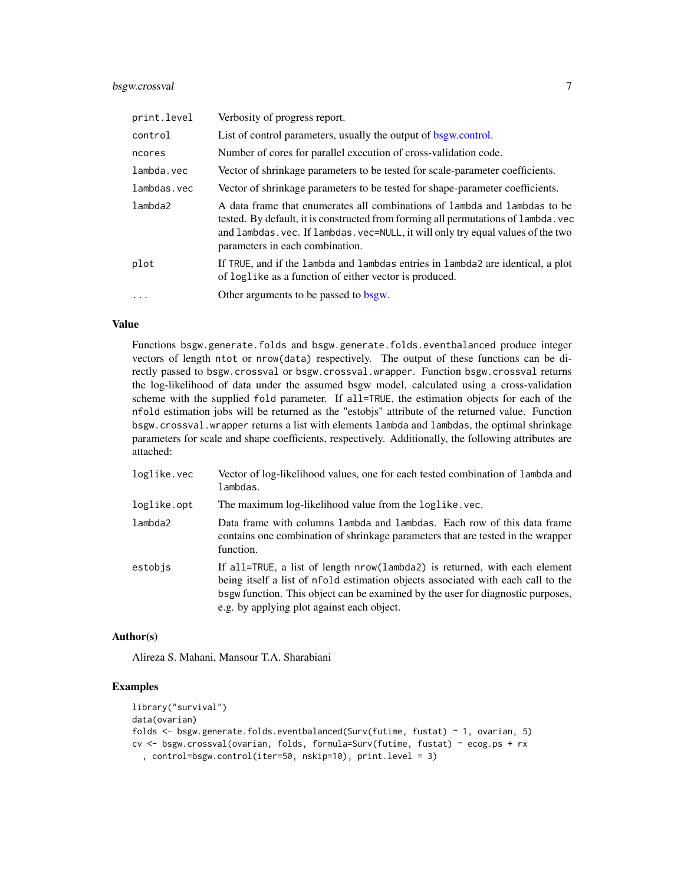# <span id="page-6-0"></span>bsgw.crossval 7

| print.level | Verbosity of progress report.                                                                                                                                                                                                                                                          |
|-------------|----------------------------------------------------------------------------------------------------------------------------------------------------------------------------------------------------------------------------------------------------------------------------------------|
| control     | List of control parameters, usually the output of bsgw.control.                                                                                                                                                                                                                        |
| ncores      | Number of cores for parallel execution of cross-validation code.                                                                                                                                                                                                                       |
| lambda.vec  | Vector of shrinkage parameters to be tested for scale-parameter coefficients.                                                                                                                                                                                                          |
| lambdas.vec | Vector of shrinkage parameters to be tested for shape-parameter coefficients.                                                                                                                                                                                                          |
| lambda2     | A data frame that enumerates all combinations of lambda and lambdas to be<br>tested. By default, it is constructed from forming all permutations of lambda, vec<br>and lambdas. vec. If lambdas. vec=NULL, it will only try equal values of the two<br>parameters in each combination. |
| plot        | If TRUE, and if the lambda and lambdas entries in lambda2 are identical, a plot<br>of loglike as a function of either vector is produced.                                                                                                                                              |
| $\ddotsc$   | Other arguments to be passed to bsgw.                                                                                                                                                                                                                                                  |

# Value

Functions bsgw.generate.folds and bsgw.generate.folds.eventbalanced produce integer vectors of length ntot or nrow(data) respectively. The output of these functions can be directly passed to bsgw.crossval or bsgw.crossval.wrapper. Function bsgw.crossval returns the log-likelihood of data under the assumed bsgw model, calculated using a cross-validation scheme with the supplied fold parameter. If all=TRUE, the estimation objects for each of the nfold estimation jobs will be returned as the "estobjs" attribute of the returned value. Function bsgw.crossval.wrapper returns a list with elements lambda and lambdas, the optimal shrinkage parameters for scale and shape coefficients, respectively. Additionally, the following attributes are attached:

| loglike.vec | Vector of log-likelihood values, one for each tested combination of lambda and<br>lambdas.                                                                                                                                                                                                      |
|-------------|-------------------------------------------------------------------------------------------------------------------------------------------------------------------------------------------------------------------------------------------------------------------------------------------------|
| loglike.opt | The maximum log-likelihood value from the loglike, vec.                                                                                                                                                                                                                                         |
| lambda2     | Data frame with columns lambda and lambdas. Each row of this data frame<br>contains one combination of shrinkage parameters that are tested in the wrapper<br>function.                                                                                                                         |
| estobis     | If all=TRUE, a list of length nrow(lambda2) is returned, with each element<br>being itself a list of nfold estimation objects associated with each call to the<br>bsgw function. This object can be examined by the user for diagnostic purposes,<br>e.g. by applying plot against each object. |

## Author(s)

Alireza S. Mahani, Mansour T.A. Sharabiani

```
library("survival")
data(ovarian)
folds <- bsgw.generate.folds.eventbalanced(Surv(futime, fustat) ~ 1, ovarian, 5)
cv <- bsgw.crossval(ovarian, folds, formula=Surv(futime, fustat) ~ ecog.ps + rx
  , control=bsgw.control(iter=50, nskip=10), print.level = 3)
```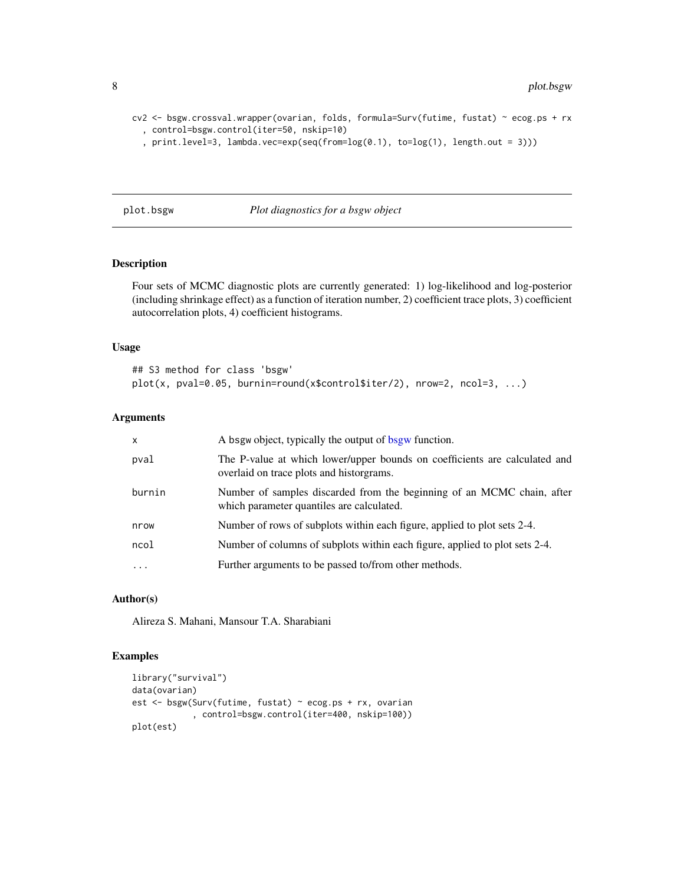```
cv2 <- bsgw.crossval.wrapper(ovarian, folds, formula=Surv(futime, fustat) ~ ecog.ps + rx
  , control=bsgw.control(iter=50, nskip=10)
  , print.level=3, lambda.vec=exp(seq(from=log(0.1), to=log(1), length.out = 3)))
```
# <span id="page-7-1"></span>plot.bsgw *Plot diagnostics for a bsgw object*

# Description

Four sets of MCMC diagnostic plots are currently generated: 1) log-likelihood and log-posterior (including shrinkage effect) as a function of iteration number, 2) coefficient trace plots, 3) coefficient autocorrelation plots, 4) coefficient histograms.

#### Usage

```
## S3 method for class 'bsgw'
plot(x, pval=0.05, burnin=round(x$control$iter/2), nrow=2, ncol=3, ...)
```
# Arguments

| x         | A bsgw object, typically the output of bsgw function.                                                                  |
|-----------|------------------------------------------------------------------------------------------------------------------------|
| pval      | The P-value at which lower/upper bounds on coefficients are calculated and<br>overlaid on trace plots and historgrams. |
| burnin    | Number of samples discarded from the beginning of an MCMC chain, after<br>which parameter quantiles are calculated.    |
| nrow      | Number of rows of subplots within each figure, applied to plot sets 2-4.                                               |
| ncol      | Number of columns of subplots within each figure, applied to plot sets 2-4.                                            |
| $\ddotsc$ | Further arguments to be passed to/from other methods.                                                                  |
|           |                                                                                                                        |

# Author(s)

Alireza S. Mahani, Mansour T.A. Sharabiani

```
library("survival")
data(ovarian)
est <- bsgw(Surv(futime, fustat) ~ ecog.ps + rx, ovarian
            , control=bsgw.control(iter=400, nskip=100))
plot(est)
```
<span id="page-7-0"></span>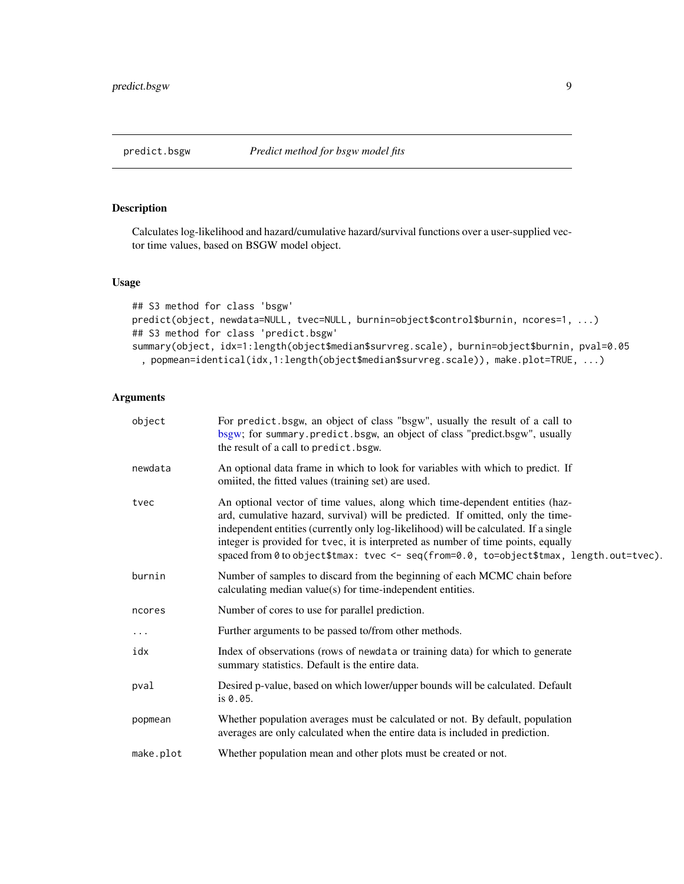# <span id="page-8-1"></span><span id="page-8-0"></span>Description

Calculates log-likelihood and hazard/cumulative hazard/survival functions over a user-supplied vector time values, based on BSGW model object.

# Usage

```
## S3 method for class 'bsgw'
predict(object, newdata=NULL, tvec=NULL, burnin=object$control$burnin, ncores=1, ...)
## S3 method for class 'predict.bsgw'
summary(object, idx=1:length(object$median$survreg.scale), burnin=object$burnin, pval=0.05
 , popmean=identical(idx,1:length(object$median$survreg.scale)), make.plot=TRUE, ...)
```
# Arguments

| object    | For predict bsgw, an object of class "bsgw", usually the result of a call to<br>bsgw; for summary.predict.bsgw, an object of class "predict.bsgw", usually<br>the result of a call to predict. bsgw.                                                                                                                                                                                                                                    |
|-----------|-----------------------------------------------------------------------------------------------------------------------------------------------------------------------------------------------------------------------------------------------------------------------------------------------------------------------------------------------------------------------------------------------------------------------------------------|
| newdata   | An optional data frame in which to look for variables with which to predict. If<br>omiited, the fitted values (training set) are used.                                                                                                                                                                                                                                                                                                  |
| tvec      | An optional vector of time values, along which time-dependent entities (haz-<br>ard, cumulative hazard, survival) will be predicted. If omitted, only the time-<br>independent entities (currently only log-likelihood) will be calculated. If a single<br>integer is provided for tvec, it is interpreted as number of time points, equally<br>spaced from 0 to object\$tmax: tvec <- seq(from=0.0, to=object\$tmax, length.out=tvec). |
| burnin    | Number of samples to discard from the beginning of each MCMC chain before<br>calculating median value(s) for time-independent entities.                                                                                                                                                                                                                                                                                                 |
| ncores    | Number of cores to use for parallel prediction.                                                                                                                                                                                                                                                                                                                                                                                         |
| $\cdots$  | Further arguments to be passed to/from other methods.                                                                                                                                                                                                                                                                                                                                                                                   |
| idx       | Index of observations (rows of newdata or training data) for which to generate<br>summary statistics. Default is the entire data.                                                                                                                                                                                                                                                                                                       |
| pval      | Desired p-value, based on which lower/upper bounds will be calculated. Default<br>is 0.05.                                                                                                                                                                                                                                                                                                                                              |
| popmean   | Whether population averages must be calculated or not. By default, population<br>averages are only calculated when the entire data is included in prediction.                                                                                                                                                                                                                                                                           |
| make.plot | Whether population mean and other plots must be created or not.                                                                                                                                                                                                                                                                                                                                                                         |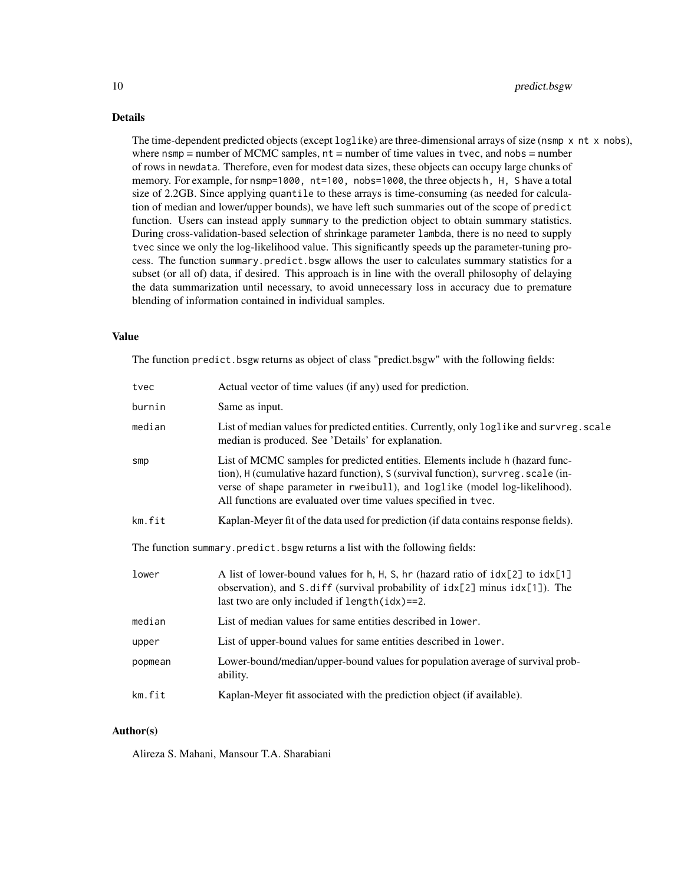# Details

The time-dependent predicted objects (except log1ike) are three-dimensional arrays of size (nsmp x nt x nobs), where nsmp  $=$  number of MCMC samples,  $nt =$  number of time values in tvec, and nobs  $=$  number of rows in newdata. Therefore, even for modest data sizes, these objects can occupy large chunks of memory. For example, for nsmp=1000, nt=100, nobs=1000, the three objects h, H, S have a total size of 2.2GB. Since applying quantile to these arrays is time-consuming (as needed for calculation of median and lower/upper bounds), we have left such summaries out of the scope of predict function. Users can instead apply summary to the prediction object to obtain summary statistics. During cross-validation-based selection of shrinkage parameter lambda, there is no need to supply tvec since we only the log-likelihood value. This significantly speeds up the parameter-tuning process. The function summary.predict.bsgw allows the user to calculates summary statistics for a subset (or all of) data, if desired. This approach is in line with the overall philosophy of delaying the data summarization until necessary, to avoid unnecessary loss in accuracy due to premature blending of information contained in individual samples.

### Value

The function predict.bsgw returns as object of class "predict.bsgw" with the following fields:

| tvec                                                                        | Actual vector of time values (if any) used for prediction.                                                                                                                                                                                                                                                          |  |  |  |  |  |
|-----------------------------------------------------------------------------|---------------------------------------------------------------------------------------------------------------------------------------------------------------------------------------------------------------------------------------------------------------------------------------------------------------------|--|--|--|--|--|
| burnin                                                                      | Same as input.                                                                                                                                                                                                                                                                                                      |  |  |  |  |  |
| median                                                                      | List of median values for predicted entities. Currently, only loglike and survreg.scale<br>median is produced. See 'Details' for explanation.                                                                                                                                                                       |  |  |  |  |  |
| smp                                                                         | List of MCMC samples for predicted entities. Elements include h (hazard func-<br>tion), H (cumulative hazard function), S (survival function), survreg. scale (in-<br>verse of shape parameter in rweibull), and loglike (model log-likelihood).<br>All functions are evaluated over time values specified in tvec. |  |  |  |  |  |
| km.fit                                                                      | Kaplan-Meyer fit of the data used for prediction (if data contains response fields).                                                                                                                                                                                                                                |  |  |  |  |  |
| The function summary.predict.bsgw returns a list with the following fields: |                                                                                                                                                                                                                                                                                                                     |  |  |  |  |  |
| lower                                                                       | A list of lower-bound values for h, H, S, hr (hazard ratio of idx[2] to idx[1]<br>observation), and S.diff (survival probability of idx[2] minus idx[1]). The<br>last two are only included if $length(idx) == 2$ .                                                                                                 |  |  |  |  |  |
| median                                                                      | List of median values for same entities described in lower.                                                                                                                                                                                                                                                         |  |  |  |  |  |
| upper                                                                       | List of upper-bound values for same entities described in lower.                                                                                                                                                                                                                                                    |  |  |  |  |  |
| popmean                                                                     | Lower-bound/median/upper-bound values for population average of survival prob-<br>ability.                                                                                                                                                                                                                          |  |  |  |  |  |
| km.fit                                                                      | Kaplan-Meyer fit associated with the prediction object (if available).                                                                                                                                                                                                                                              |  |  |  |  |  |

# Author(s)

Alireza S. Mahani, Mansour T.A. Sharabiani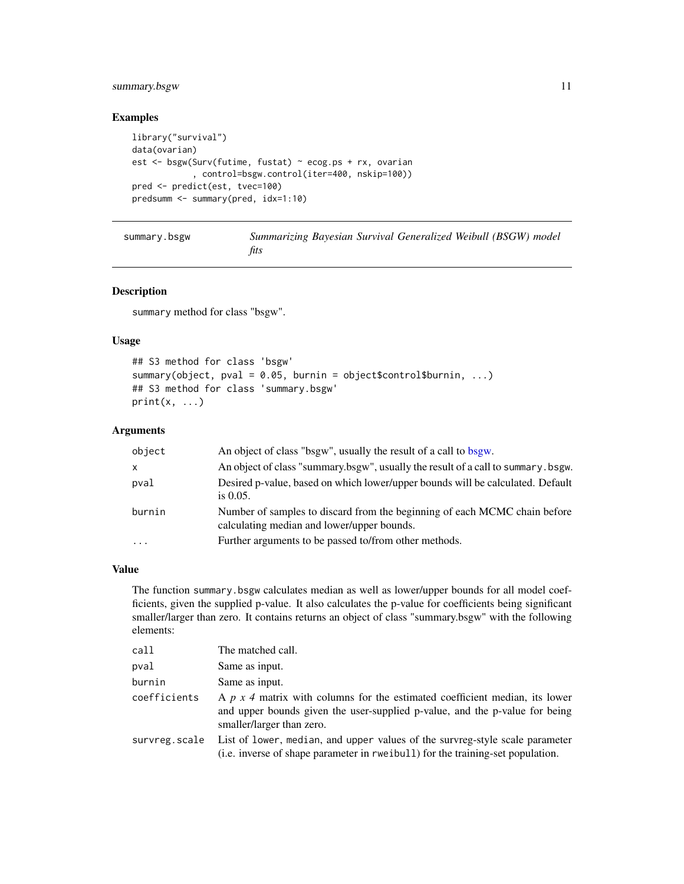# <span id="page-10-0"></span>summary.bsgw 11

# Examples

```
library("survival")
data(ovarian)
est <- bsgw(Surv(futime, fustat) ~ ecog.ps + rx, ovarian
            , control=bsgw.control(iter=400, nskip=100))
pred <- predict(est, tvec=100)
predsumm <- summary(pred, idx=1:10)
```
<span id="page-10-1"></span>

| summary.bsgw | Summarizing Bayesian Survival Generalized Weibull (BSGW) model |
|--------------|----------------------------------------------------------------|
|              | fits                                                           |

# Description

summary method for class "bsgw".

# Usage

```
## S3 method for class 'bsgw'
summary(object, pval = 0.05, burnin = object$control$burnin, ...)
## S3 method for class 'summary.bsgw'
print(x, \ldots)
```
# Arguments

| object    | An object of class "bsgw", usually the result of a call to bsgw.                                                        |
|-----------|-------------------------------------------------------------------------------------------------------------------------|
| X         | An object of class "summary.bsgw", usually the result of a call to summary.bsgw.                                        |
| pval      | Desired p-value, based on which lower/upper bounds will be calculated. Default<br>is $0.05$ .                           |
| burnin    | Number of samples to discard from the beginning of each MCMC chain before<br>calculating median and lower/upper bounds. |
| $\ddotsc$ | Further arguments to be passed to/from other methods.                                                                   |

# Value

The function summary.bsgw calculates median as well as lower/upper bounds for all model coefficients, given the supplied p-value. It also calculates the p-value for coefficients being significant smaller/larger than zero. It contains returns an object of class "summary.bsgw" with the following elements:

| call          | The matched call.                                                                                                                                                                              |
|---------------|------------------------------------------------------------------------------------------------------------------------------------------------------------------------------------------------|
| pval          | Same as input.                                                                                                                                                                                 |
| burnin        | Same as input.                                                                                                                                                                                 |
| coefficients  | A $p \times 4$ matrix with columns for the estimated coefficient median, its lower<br>and upper bounds given the user-supplied p-value, and the p-value for being<br>smaller/larger than zero. |
| survreg.scale | List of lower, median, and upper values of the survreg-style scale parameter<br>(i.e. inverse of shape parameter in rwe ibull) for the training-set population.                                |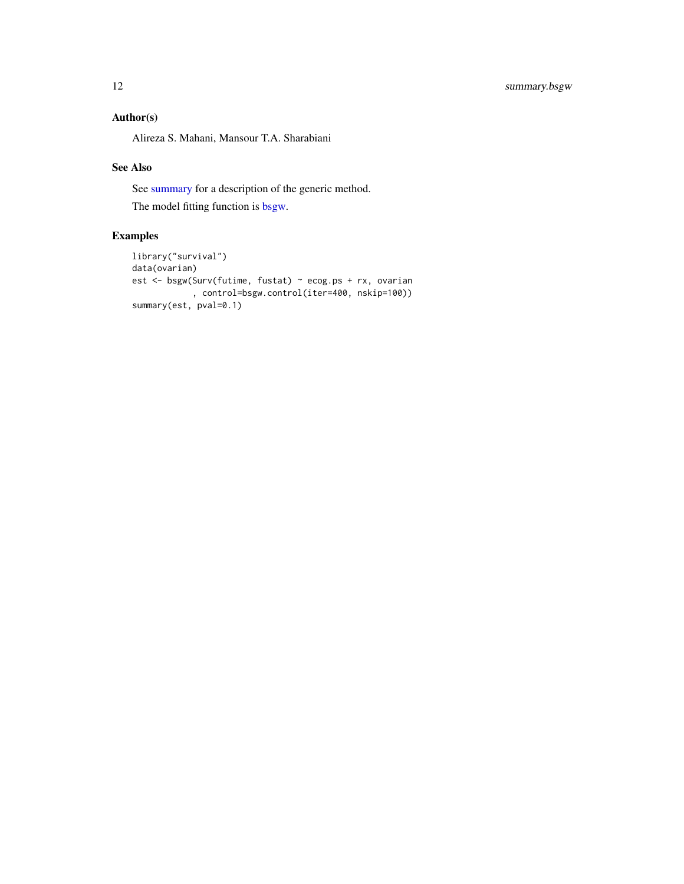# <span id="page-11-0"></span>Author(s)

Alireza S. Mahani, Mansour T.A. Sharabiani

# See Also

See [summary](#page-0-0) for a description of the generic method.

The model fitting function is [bsgw.](#page-1-2)

```
library("survival")
data(ovarian)
est <- bsgw(Surv(futime, fustat) ~ ecog.ps + rx, ovarian
           , control=bsgw.control(iter=400, nskip=100))
summary(est, pval=0.1)
```